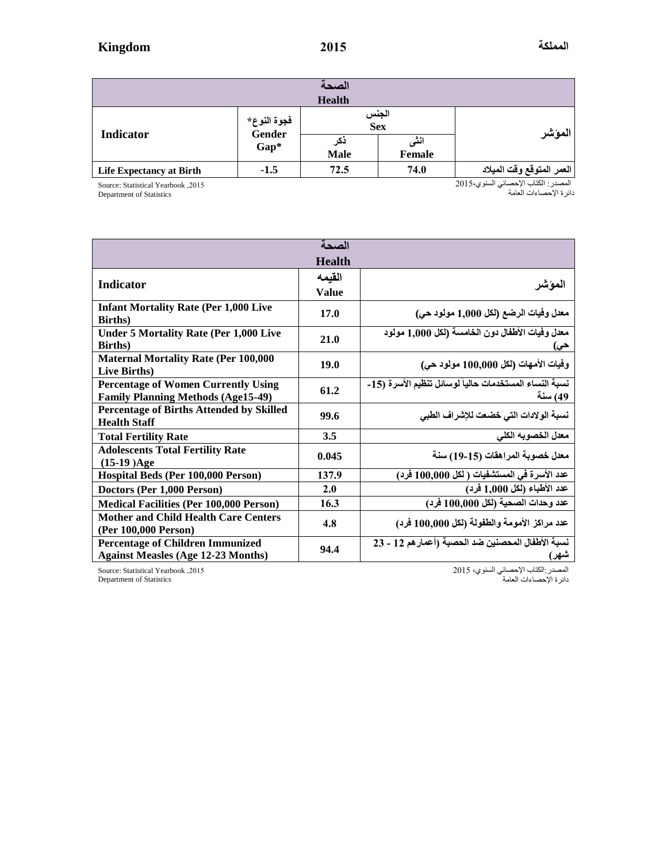| الصحة                           |                                      |                                                             |      |                           |  |  |  |  |
|---------------------------------|--------------------------------------|-------------------------------------------------------------|------|---------------------------|--|--|--|--|
| <b>Health</b>                   |                                      |                                                             |      |                           |  |  |  |  |
| Indicator                       | فجوة النوع*<br><b>Gender</b><br>Gap* | الجنس<br>Sex<br>انٹی<br>دکر<br><b>Male</b><br><b>Female</b> |      | المؤشر                    |  |  |  |  |
| <b>Life Expectancy at Birth</b> | $-1.5$                               | 72.5                                                        | 74.0 | العمر المتوقع وقت الميلاد |  |  |  |  |

Source: Statistical Yearbook , 2015

Department of Statistics

المصدر: الكتاب اإلحصائي السنوي5102، دائرة اإلحصاءات العامة

| الصحة                                                                                   |               |                                                                   |  |  |  |  |  |
|-----------------------------------------------------------------------------------------|---------------|-------------------------------------------------------------------|--|--|--|--|--|
|                                                                                         | <b>Health</b> |                                                                   |  |  |  |  |  |
| <b>Indicator</b>                                                                        | القيمه        |                                                                   |  |  |  |  |  |
|                                                                                         | <b>Value</b>  | المؤشر                                                            |  |  |  |  |  |
| <b>Infant Mortality Rate (Per 1,000 Live</b><br><b>Births</b> )                         | 17.0          | معدل وفيات الرضع (لكل 1,000 مولود حي)                             |  |  |  |  |  |
| <b>Under 5 Mortality Rate (Per 1,000 Live</b><br><b>Births</b> )                        | 21.0          | معدل وفيات الأطفال دون الخامسة (لكل 1,000 مولود<br>حى)            |  |  |  |  |  |
| <b>Maternal Mortality Rate (Per 100,000</b><br><b>Live Births</b> )                     | 19.0          | وفيات الأمهات (لكل 100,000 مولود حي)                              |  |  |  |  |  |
| <b>Percentage of Women Currently Using</b><br><b>Family Planning Methods (Age15-49)</b> | 61.2          | نسبة النساء المستخدمات حالياً لوسائل تنظيم الأسرة (15-<br>49) سنة |  |  |  |  |  |
| <b>Percentage of Births Attended by Skilled</b><br><b>Health Staff</b>                  | 99.6          | نسبة الولادات التي خضعت للإشراف الطبي                             |  |  |  |  |  |
| <b>Total Fertility Rate</b>                                                             | 3.5           | معدل الخصوبه الكلى                                                |  |  |  |  |  |
| <b>Adolescents Total Fertility Rate</b><br>$(15-19)Age$                                 | 0.045         | معدل خصوبة المراهقات (15-19) سنة                                  |  |  |  |  |  |
| Hospital Beds (Per 100,000 Person)                                                      | 137.9         | عدد الأسرة في المستشفيات ( لكل 100,000 فرد)                       |  |  |  |  |  |
| Doctors (Per 1,000 Person)                                                              | 2.0           | عدد الأطباء (لكل 1,000 فرد)                                       |  |  |  |  |  |
| <b>Medical Facilities (Per 100,000 Person)</b>                                          | 16.3          | عدد وحدات الصحية (لكل 100,000 فرد)                                |  |  |  |  |  |
| <b>Mother and Child Health Care Centers</b><br>(Per 100,000 Person)                     | 4.8           | عدد مراكز الأمومة والطفولة (لكل 100,000 فرد)                      |  |  |  |  |  |
| <b>Percentage of Children Immunized</b><br><b>Against Measles (Age 12-23 Months)</b>    | 94.4          | نسبة الأطفال المحصنين ضد الحصبة (أعمار هم 12 - 23<br>شهر)         |  |  |  |  |  |

Source: Statistical Yearbook , 2015 Department of Statistics

المصدر:الكتاب اإلحصائي السنوي، 5102

دائرة اإلحصاءات العامة